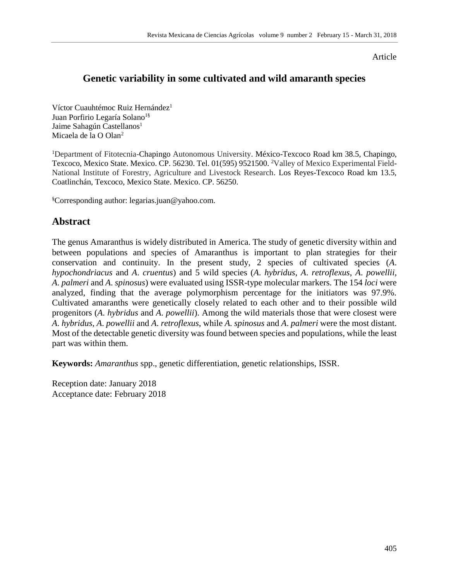Article

# **Genetic variability in some cultivated and wild amaranth species**

Víctor Cuauhtémoc Ruiz Hernández<sup>1</sup> Juan Porfirio Legaría Solano<sup>1§</sup> Jaime Sahagún Castellanos<sup>1</sup> Micaela de la O Olan<sup>2</sup>

<sup>1</sup>Department of Fitotecnia-Chapingo Autonomous University. México-Texcoco Road km 38.5, Chapingo, Texcoco, Mexico State. Mexico. CP. 56230. Tel. 01(595) 9521500. <sup>2</sup>Valley of Mexico Experimental Field-National Institute of Forestry, Agriculture and Livestock Research. Los Reyes-Texcoco Road km 13.5, Coatlinchán, Texcoco, Mexico State. Mexico. CP. 56250.

§Corresponding author: legarias.juan@yahoo.com.

# **Abstract**

The genus Amaranthus is widely distributed in America. The study of genetic diversity within and between populations and species of Amaranthus is important to plan strategies for their conservation and continuity. In the present study, 2 species of cultivated species (*A*. *hypochondriacus* and *A*. *cruentus*) and 5 wild species (*A*. *hybridus*, *A*. *retroflexus*, *A*. *powellii*, *A*. *palmeri* and *A*. *spinosus*) were evaluated using ISSR-type molecular markers. The 154 *loci* were analyzed, finding that the average polymorphism percentage for the initiators was 97.9%. Cultivated amaranths were genetically closely related to each other and to their possible wild progenitors (*A*. *hybridus* and *A*. *powellii*). Among the wild materials those that were closest were *A*. *hybridus*, *A*. *powellii* and *A*. *retroflexus*, while *A*. *spinosus* and *A*. *palmeri* were the most distant. Most of the detectable genetic diversity was found between species and populations, while the least part was within them.

**Keywords:** *Amaranthus* spp., genetic differentiation, genetic relationships, ISSR.

Reception date: January 2018 Acceptance date: February 2018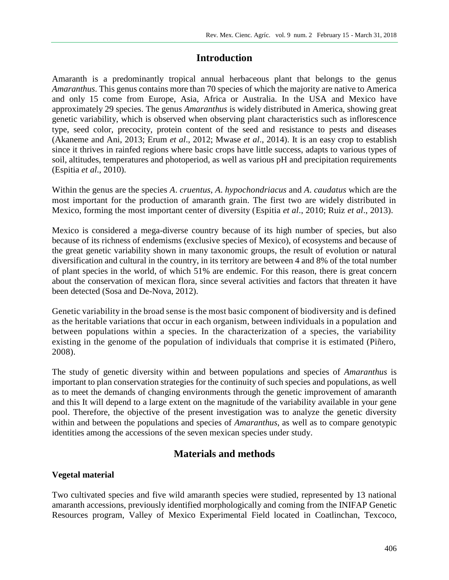# **Introduction**

Amaranth is a predominantly tropical annual herbaceous plant that belongs to the genus *Amaranthus*. This genus contains more than 70 species of which the majority are native to America and only 15 come from Europe, Asia, Africa or Australia. In the USA and Mexico have approximately 29 species. The genus *Amaranthus* is widely distributed in America, showing great genetic variability, which is observed when observing plant characteristics such as inflorescence type, seed color, precocity, protein content of the seed and resistance to pests and diseases (Akaneme and Ani, 2013; Erum *et al*., 2012; Mwase *et al*., 2014). It is an easy crop to establish since it thrives in rainfed regions where basic crops have little success, adapts to various types of soil, altitudes, temperatures and photoperiod, as well as various pH and precipitation requirements (Espitia *et al*., 2010).

Within the genus are the species *A*. *cruentus*, *A*. *hypochondriacus* and *A*. *caudatus* which are the most important for the production of amaranth grain. The first two are widely distributed in Mexico, forming the most important center of diversity (Espitia *et al*., 2010; Ruiz *et al*., 2013).

Mexico is considered a mega-diverse country because of its high number of species, but also because of its richness of endemisms (exclusive species of Mexico), of ecosystems and because of the great genetic variability shown in many taxonomic groups, the result of evolution or natural diversification and cultural in the country, in its territory are between 4 and 8% of the total number of plant species in the world, of which 51% are endemic. For this reason, there is great concern about the conservation of mexican flora, since several activities and factors that threaten it have been detected (Sosa and De-Nova, 2012).

Genetic variability in the broad sense is the most basic component of biodiversity and is defined as the heritable variations that occur in each organism, between individuals in a population and between populations within a species. In the characterization of a species, the variability existing in the genome of the population of individuals that comprise it is estimated (Piñero, 2008).

The study of genetic diversity within and between populations and species of *Amaranthus* is important to plan conservation strategies for the continuity of such species and populations, as well as to meet the demands of changing environments through the genetic improvement of amaranth and this It will depend to a large extent on the magnitude of the variability available in your gene pool. Therefore, the objective of the present investigation was to analyze the genetic diversity within and between the populations and species of *Amaranthus*, as well as to compare genotypic identities among the accessions of the seven mexican species under study.

# **Materials and methods**

## **Vegetal material**

Two cultivated species and five wild amaranth species were studied, represented by 13 national amaranth accessions, previously identified morphologically and coming from the INIFAP Genetic Resources program, Valley of Mexico Experimental Field located in Coatlinchan, Texcoco,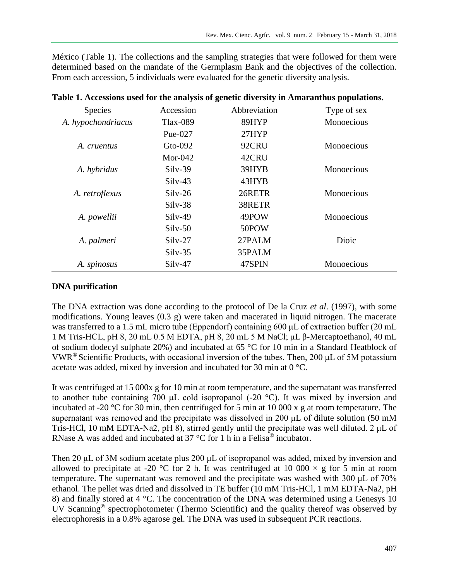México (Table 1). The collections and the sampling strategies that were followed for them were determined based on the mandate of the Germplasm Bank and the objectives of the collection. From each accession, 5 individuals were evaluated for the genetic diversity analysis.

| <b>Species</b>     | Accession       | Abbreviation | Type of sex |
|--------------------|-----------------|--------------|-------------|
| A. hypochondriacus | <b>Tlax-089</b> | 89HYP        | Monoecious  |
|                    | Pue- $027$      | 27HYP        |             |
| A. cruentus        | $Gto-092$       | 92CRU        | Monoecious  |
|                    | Mor-042         | 42CRU        |             |
| A. hybridus        | $Silv-39$       | 39HYB        | Monoecious  |
|                    | $Silv-43$       | 43HYB        |             |
| A. retroflexus     | $Silv-26$       | 26RETR       | Monoecious  |
|                    | $Silv-38$       | 38RETR       |             |
| A. powellii        | $Silv-49$       | 49POW        | Monoecious  |
|                    | $Silv-50$       | 50POW        |             |
| A. palmeri         | $Silv-27$       | 27PALM       | Dioic       |
|                    | $Silv-35$       | 35PALM       |             |
| A. spinosus        | Silv-47         | 47SPIN       | Monoecious  |

**Table 1. Accessions used for the analysis of genetic diversity in Amaranthus populations.**

#### **DNA purification**

The DNA extraction was done according to the protocol of De la Cruz *et al*. (1997), with some modifications. Young leaves (0.3 g) were taken and macerated in liquid nitrogen. The macerate was transferred to a 1.5 mL micro tube (Eppendorf) containing 600 μL of extraction buffer (20 mL 1 M Tris-HCL, pH 8, 20 mL 0.5 M EDTA, pH 8, 20 mL 5 M NaCl; μL β-Mercaptoethanol, 40 mL of sodium dodecyl sulphate 20%) and incubated at 65 °C for 10 min in a Standard Heatblock of VWR<sup>®</sup> Scientific Products, with occasional inversion of the tubes. Then, 200  $\mu$ L of 5M potassium acetate was added, mixed by inversion and incubated for 30 min at 0 °C.

It was centrifuged at 15 000x g for 10 min at room temperature, and the supernatant was transferred to another tube containing 700 μL cold isopropanol (-20 °C). It was mixed by inversion and incubated at -20 °C for 30 min, then centrifuged for 5 min at 10 000 x g at room temperature. The supernatant was removed and the precipitate was dissolved in 200 μL of dilute solution (50 mM Tris-HCl, 10 mM EDTA-Na2, pH 8), stirred gently until the precipitate was well diluted. 2 μL of RNase A was added and incubated at 37 °C for 1 h in a Felisa<sup>®</sup> incubator.

Then 20 μL of 3M sodium acetate plus 200 μL of isopropanol was added, mixed by inversion and allowed to precipitate at -20 °C for 2 h. It was centrifuged at 10 000  $\times$  g for 5 min at room temperature. The supernatant was removed and the precipitate was washed with 300 μL of 70% ethanol. The pellet was dried and dissolved in TE buffer (10 mM Tris-HCl, 1 mM EDTA-Na2, pH 8) and finally stored at 4 °C. The concentration of the DNA was determined using a Genesys 10 UV Scanning® spectrophotometer (Thermo Scientific) and the quality thereof was observed by electrophoresis in a 0.8% agarose gel. The DNA was used in subsequent PCR reactions.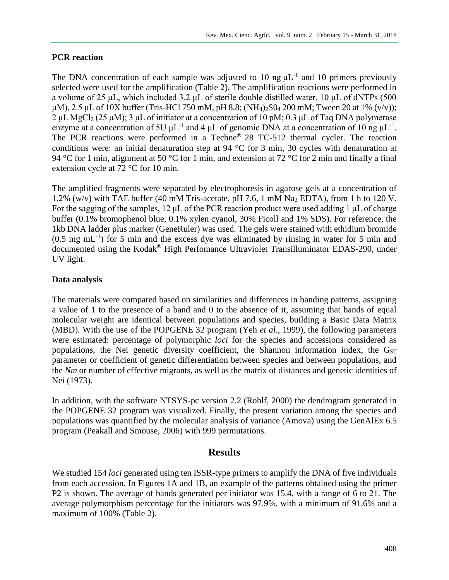#### **PCR reaction**

The DNA concentration of each sample was adjusted to 10 ng⋅ $\mu$ L<sup>-1</sup> and 10 primers previously selected were used for the amplification (Table 2). The amplification reactions were performed in a volume of 25 μL, which included 3.2 μL of sterile double distilled water, 10 μL of dNTPs (500  $\mu$ M), 2.5  $\mu$ L of 10X buffer (Tris-HCl 750 mM, pH 8.8; (NH<sub>4</sub>)<sub>2</sub>S0<sub>4</sub> 200 mM; Tween 20 at 1% (v/v)); 2 μL MgCl<sub>2</sub> (25 μM); 3 μL of initiator at a concentration of 10 pM; 0.3 μL of Taq DNA polymerase enzyme at a concentration of 5U  $\mu$ L<sup>-1</sup> and 4  $\mu$ L of genomic DNA at a concentration of 10 ng  $\mu$ L<sup>-1</sup>. The PCR reactions were performed in a Techne® 28 TC-512 thermal cycler. The reaction conditions were: an initial denaturation step at 94 °C for 3 min, 30 cycles with denaturation at 94 °C for 1 min, alignment at 50 °C for 1 min, and extension at 72 °C for 2 min and finally a final extension cycle at 72 °C for 10 min.

The amplified fragments were separated by electrophoresis in agarose gels at a concentration of 1.2% (w/v) with TAE buffer (40 mM Tris-acetate, pH 7.6, 1 mM  $\text{Na}_2$  EDTA), from 1 h to 120 V. For the sagging of the samples, 12 μL of the PCR reaction product were used adding 1 μL of charge buffer (0.1% bromophenol blue, 0.1% xylen cyanol, 30% Ficoll and 1% SDS). For reference, the 1kb DNA ladder plus marker (GeneRuler) was used. The gels were stained with ethidium bromide  $(0.5 \text{ mg } \text{mL}^{-1})$  for 5 min and the excess dye was eliminated by rinsing in water for 5 min and documented using the Kodak® High Perfomance Ultraviolet Transilluminator EDAS-290, under UV light.

## **Data analysis**

The materials were compared based on similarities and differences in banding patterns, assigning a value of 1 to the presence of a band and 0 to the absence of it, assuming that bands of equal molecular weight are identical between populations and species, building a Basic Data Matrix (MBD). With the use of the POPGENE 32 program (Yeh *et al*., 1999), the following parameters were estimated: percentage of polymorphic *loci* for the species and accessions considered as populations, the Nei genetic diversity coefficient, the Shannon information index, the  $G<sub>ST</sub>$ parameter or coefficient of genetic differentiation between species and between populations, and the *Nm* or number of effective migrants, as well as the matrix of distances and genetic identities of Nei (1973).

In addition, with the software NTSYS-pc version 2.2 (Rohlf, 2000) the dendrogram generated in the POPGENE 32 program was visualized. Finally, the present variation among the species and populations was quantified by the molecular analysis of variance (Amova) using the GenAlEx 6.5 program (Peakall and Smouse, 2006) with 999 permutations.

## **Results**

We studied 154 *loci* generated using ten ISSR-type primers to amplify the DNA of five individuals from each accession. In Figures 1A and 1B, an example of the patterns obtained using the primer P2 is shown. The average of bands generated per initiator was 15.4, with a range of 6 to 21. The average polymorphism percentage for the initiators was 97.9%, with a minimum of 91.6% and a maximum of 100% (Table 2).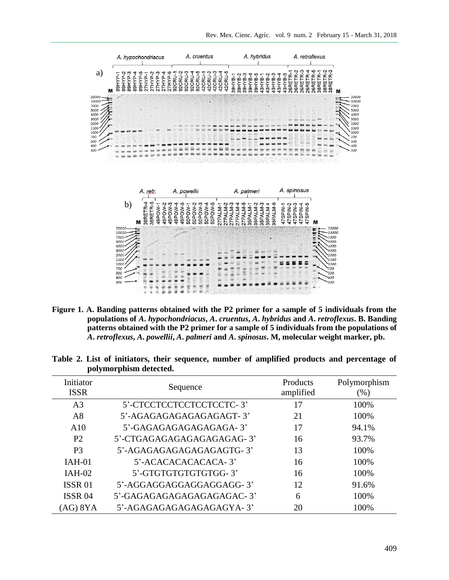

**Figure 1. A. Banding patterns obtained with the P2 primer for a sample of 5 individuals from the populations of** *A***.** *hypochondriacus***,** *A***.** *cruentus***,** *A***.** *hybridus* **and** *A***.** *retroflexus***. B. Banding patterns obtained with the P2 primer for a sample of 5 individuals from the populations of**  *A***.** *retroflexus***,** *A***.** *powellii***,** *A***.** *palmeri* **and** *A***.** *spinosus***. M, molecular weight marker, pb.**

| Initiator<br><b>ISSR</b> | Sequence                  | Products<br>amplified | Polymorphism<br>(%) |
|--------------------------|---------------------------|-----------------------|---------------------|
| A <sub>3</sub>           | 5'-CTCCTCCTCCTCCTCCTC-3'  | 17                    | 100%                |
| A8                       | 5'-AGAGAGAGAGAGAGAGT-3'   | 21                    | 100%                |
| A10                      | 5'-GAGAGAGAGAGAGAGA-3'    | 17                    | 94.1%               |
| P <sub>2</sub>           | 5'-CTGAGAGAGAGAGAGAGAG-3' | 16                    | 93.7%               |
| P <sub>3</sub>           | 5'-AGAGAGAGAGAGAGAGTG-3'  | 13                    | 100%                |
| $IAH-01$                 | 5'-ACACACACACACA-3'       | 16                    | 100%                |
| $IAH-02$                 | 5'-GTGTGTGTGTGTGG-3'      | 16                    | 100%                |
| <b>ISSR01</b>            | 5'-AGGAGGAGGAGGAGGAGG-3'  | 12                    | 91.6%               |
| ISSR <sub>04</sub>       | 5'-GAGAGAGAGAGAGAGAGAC-3' | 6                     | 100%                |
| (AG) 8YA                 | 5'-AGAGAGAGAGAGAGAGYA-3'  | 20                    | 100%                |

**Table 2. List of initiators, their sequence, number of amplified products and percentage of polymorphism detected.**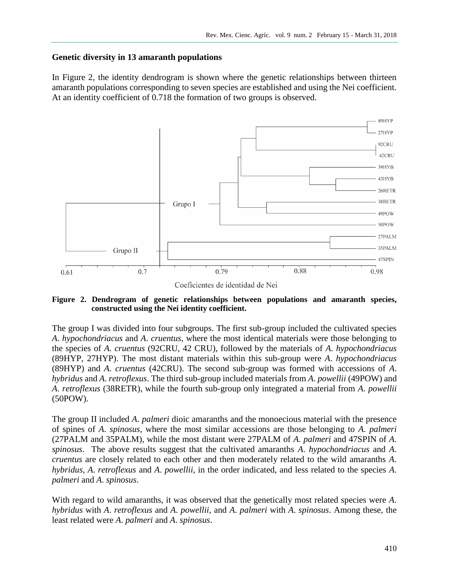#### **Genetic diversity in 13 amaranth populations**

In Figure 2, the identity dendrogram is shown where the genetic relationships between thirteen amaranth populations corresponding to seven species are established and using the Nei coefficient. At an identity coefficient of 0.718 the formation of two groups is observed.



#### **Figure 2. Dendrogram of genetic relationships between populations and amaranth species, constructed using the Nei identity coefficient.**

The group I was divided into four subgroups. The first sub-group included the cultivated species *A*. *hypochondriacus* and *A*. *cruentus*, where the most identical materials were those belonging to the species of *A*. *cruentus* (92CRU, 42 CRU), followed by the materials of *A*. *hypochondriacus* (89HYP, 27HYP). The most distant materials within this sub-group were *A*. *hypochondriacus* (89HYP) and *A*. *cruentus* (42CRU). The second sub-group was formed with accessions of *A*. *hybridus* and *A*. *retroflexus*. The third sub-group included materials from *A*. *powellii* (49POW) and *A*. *retroflexus* (38RETR), while the fourth sub-group only integrated a material from *A*. *powellii* (50POW).

The group II included *A*. *palmeri* dioic amaranths and the monoecious material with the presence of spines of *A*. *spinosus*, where the most similar accessions are those belonging to *A*. *palmeri* (27PALM and 35PALM), while the most distant were 27PALM of *A*. *palmeri* and 47SPIN of *A*. *spinosus*. The above results suggest that the cultivated amaranths *A*. *hypochondriacus* and *A*. *cruentus* are closely related to each other and then moderately related to the wild amaranths *A*. *hybridus*, *A*. *retroflexus* and *A*. *powellii*, in the order indicated, and less related to the species *A*. *palmeri* and *A*. *spinosus*.

With regard to wild amaranths, it was observed that the genetically most related species were *A*. *hybridus* with *A*. *retroflexus* and *A*. *powellii*, and *A*. *palmeri* with *A*. *spinosus*. Among these, the least related were *A*. *palmeri* and *A*. *spinosus*.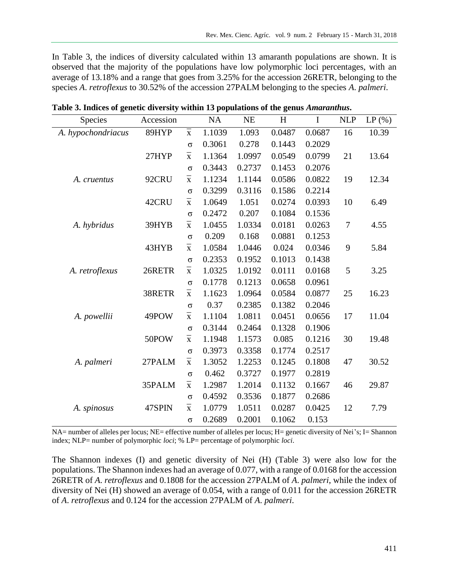In Table 3, the indices of diversity calculated within 13 amaranth populations are shown. It is observed that the majority of the populations have low polymorphic loci percentages, with an average of 13.18% and a range that goes from 3.25% for the accession 26RETR, belonging to the species *A*. *retroflexus* to 30.52% of the accession 27PALM belonging to the species *A*. *palmeri*.

| Species            | Accession |                    | NA     | <b>NE</b> | H      | $\bf I$ | <b>NLP</b>       | LP(%) |
|--------------------|-----------|--------------------|--------|-----------|--------|---------|------------------|-------|
| A. hypochondriacus | 89HYP     | $\bf \bar{X}$      | 1.1039 | 1.093     | 0.0487 | 0.0687  | 16               | 10.39 |
|                    |           | $\sigma$           | 0.3061 | 0.278     | 0.1443 | 0.2029  |                  |       |
|                    | 27HYP     | $\bar{\textbf{X}}$ | 1.1364 | 1.0997    | 0.0549 | 0.0799  | 21               | 13.64 |
|                    |           | $\sigma$           | 0.3443 | 0.2737    | 0.1453 | 0.2076  |                  |       |
| A. cruentus        | 92CRU     | $\bar{\textbf{X}}$ | 1.1234 | 1.1144    | 0.0586 | 0.0822  | 19               | 12.34 |
|                    |           | $\sigma$           | 0.3299 | 0.3116    | 0.1586 | 0.2214  |                  |       |
|                    | 42CRU     | $\bf \bar{X}$      | 1.0649 | 1.051     | 0.0274 | 0.0393  | 10               | 6.49  |
|                    |           | $\sigma$           | 0.2472 | 0.207     | 0.1084 | 0.1536  |                  |       |
| A. hybridus        | 39HYB     | $\bf \bar{X}$      | 1.0455 | 1.0334    | 0.0181 | 0.0263  | $\boldsymbol{7}$ | 4.55  |
|                    |           | $\sigma$           | 0.209  | 0.168     | 0.0881 | 0.1253  |                  |       |
|                    | 43HYB     | $\bf \bar{X}$      | 1.0584 | 1.0446    | 0.024  | 0.0346  | 9                | 5.84  |
|                    |           | $\sigma$           | 0.2353 | 0.1952    | 0.1013 | 0.1438  |                  |       |
| A. retroflexus     | 26RETR    | $\bar{\textbf{X}}$ | 1.0325 | 1.0192    | 0.0111 | 0.0168  | 5                | 3.25  |
|                    |           | $\sigma$           | 0.1778 | 0.1213    | 0.0658 | 0.0961  |                  |       |
|                    | 38RETR    | $\bar{\textbf{X}}$ | 1.1623 | 1.0964    | 0.0584 | 0.0877  | 25               | 16.23 |
|                    |           | $\sigma$           | 0.37   | 0.2385    | 0.1382 | 0.2046  |                  |       |
| A. powellii        | 49POW     | $\bar{\textbf{X}}$ | 1.1104 | 1.0811    | 0.0451 | 0.0656  | 17               | 11.04 |
|                    |           | $\sigma$           | 0.3144 | 0.2464    | 0.1328 | 0.1906  |                  |       |
|                    | 50POW     | $\bf \bar{X}$      | 1.1948 | 1.1573    | 0.085  | 0.1216  | 30               | 19.48 |
|                    |           | $\sigma$           | 0.3973 | 0.3358    | 0.1774 | 0.2517  |                  |       |
| A. palmeri         | 27PALM    | $\bf \bar{X}$      | 1.3052 | 1.2253    | 0.1245 | 0.1808  | 47               | 30.52 |
|                    |           | $\sigma$           | 0.462  | 0.3727    | 0.1977 | 0.2819  |                  |       |
|                    | 35PALM    | $\bf \bar{X}$      | 1.2987 | 1.2014    | 0.1132 | 0.1667  | 46               | 29.87 |
|                    |           | $\sigma$           | 0.4592 | 0.3536    | 0.1877 | 0.2686  |                  |       |
| A. spinosus        | 47SPIN    | $\bar{\textbf{X}}$ | 1.0779 | 1.0511    | 0.0287 | 0.0425  | 12               | 7.79  |
|                    |           | $\sigma$           | 0.2689 | 0.2001    | 0.1062 | 0.153   |                  |       |

**Table 3. Indices of genetic diversity within 13 populations of the genus** *Amaranthus***.**

NA= number of alleles per locus; NE= effective number of alleles per locus; H= genetic diversity of Nei's; I= Shannon index; NLP= number of polymorphic *loci*; % LP= percentage of polymorphic *loci*.

The Shannon indexes (I) and genetic diversity of Nei (H) (Table 3) were also low for the populations. The Shannon indexes had an average of 0.077, with a range of 0.0168 for the accession 26RETR of *A*. *retroflexus* and 0.1808 for the accession 27PALM of *A*. *palmeri*, while the index of diversity of Nei (H) showed an average of 0.054, with a range of 0.011 for the accession 26RETR of *A*. *retroflexus* and 0.124 for the accession 27PALM of *A*. *palmeri*.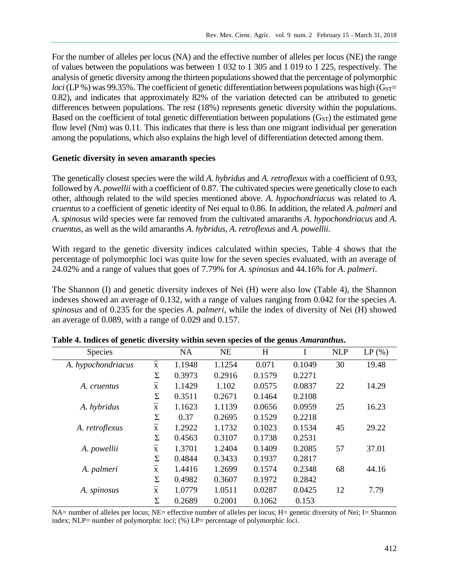For the number of alleles per locus (NA) and the effective number of alleles per locus (NE) the range of values between the populations was between 1 032 to 1 305 and 1 019 to 1 225, respectively. The analysis of genetic diversity among the thirteen populations showed that the percentage of polymorphic *loci* (LP %) was 99.35%. The coefficient of genetic differentiation between populations was high ( $G<sub>ST</sub>$ = 0.82), and indicates that approximately 82% of the variation detected can be attributed to genetic differences between populations. The rest (18%) represents genetic diversity within the populations. Based on the coefficient of total genetic differentiation between populations  $(G<sub>ST</sub>)$  the estimated gene flow level (Nm) was 0.11. This indicates that there is less than one migrant individual per generation among the populations, which also explains the high level of differentiation detected among them.

#### **Genetic diversity in seven amaranth species**

The genetically closest species were the wild *A*. *hybridus* and *A*. *retroflexus* with a coefficient of 0.93, followed by *A*. *powellii* with a coefficient of 0.87. The cultivated species were genetically close to each other, although related to the wild species mentioned above. *A*. *hypochondriacus* was related to *A*. *cruentus* to a coefficient of genetic identity of Nei equal to 0.86. In addition, the related *A*. *palmeri* and *A*. *spinosus* wild species were far removed from the cultivated amaranths *A*. *hypochondriacus* and *A*. *cruentus*, as well as the wild amaranths *A*. *hybridus*, *A*. *retroflexus* and *A*. *powellii*.

With regard to the genetic diversity indices calculated within species, Table 4 shows that the percentage of polymorphic loci was quite low for the seven species evaluated, with an average of 24.02% and a range of values that goes of 7.79% for *A*. *spinosus* and 44.16% for *A*. *palmeri*.

The Shannon (I) and genetic diversity indexes of Nei (H) were also low (Table 4), the Shannon indexes showed an average of 0.132, with a range of values ranging from 0.042 for the species *A*. *spinosus* and of 0.235 for the species *A*. *palmeri*, while the index of diversity of Nei (H) showed an average of 0.089, with a range of 0.029 and 0.157.

| Species            |                    | <b>NA</b> | <b>NE</b> | H      |        | <b>NLP</b> | LP(%) |
|--------------------|--------------------|-----------|-----------|--------|--------|------------|-------|
| A. hypochondriacus | $\bf \bar{X}$      | 1.1948    | 1.1254    | 0.071  | 0.1049 | 30         | 19.48 |
|                    | Σ                  | 0.3973    | 0.2916    | 0.1579 | 0.2271 |            |       |
| A. cruentus        | $\bar{\textbf{X}}$ | 1.1429    | 1.102     | 0.0575 | 0.0837 | 22         | 14.29 |
|                    | Σ                  | 0.3511    | 0.2671    | 0.1464 | 0.2108 |            |       |
| A. hybridus        | $\bar{\textbf{X}}$ | 1.1623    | 1.1139    | 0.0656 | 0.0959 | 25         | 16.23 |
|                    | Σ                  | 0.37      | 0.2695    | 0.1529 | 0.2218 |            |       |
| A. retroflexus     | $\bar{\textbf{X}}$ | 1.2922    | 1.1732    | 0.1023 | 0.1534 | 45         | 29.22 |
|                    | Σ                  | 0.4563    | 0.3107    | 0.1738 | 0.2531 |            |       |
| A. powellii        | $\bar{\textbf{X}}$ | 1.3701    | 1.2404    | 0.1409 | 0.2085 | 57         | 37.01 |
|                    | Σ                  | 0.4844    | 0.3433    | 0.1937 | 0.2817 |            |       |
| A. palmeri         | $\bar{\textbf{X}}$ | 1.4416    | 1.2699    | 0.1574 | 0.2348 | 68         | 44.16 |
|                    | Σ                  | 0.4982    | 0.3607    | 0.1972 | 0.2842 |            |       |
| A. spinosus        | $\bar{\textbf{X}}$ | 1.0779    | 1.0511    | 0.0287 | 0.0425 | 12         | 7.79  |
|                    | Σ                  | 0.2689    | 0.2001    | 0.1062 | 0.153  |            |       |

**Table 4. Indices of genetic diversity within seven species of the genus** *Amaranthus***.**

NA= number of alleles per locus; NE= effective number of alleles per locus; H= genetic diversity of Nei; I= Shannon index; NLP= number of polymorphic *loci*; (%) LP= percentage of polymorphic *loci*.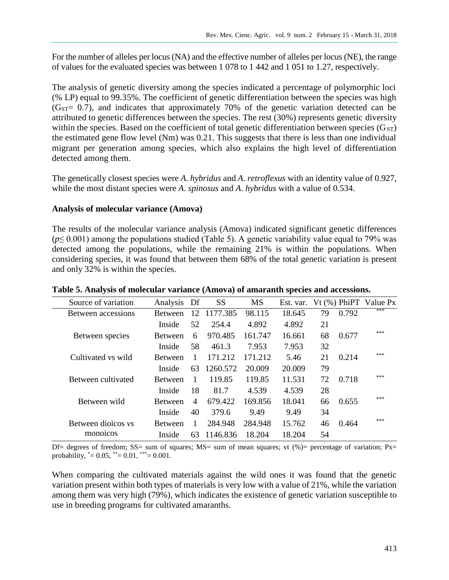For the number of alleles per locus (NA) and the effective number of alleles per locus (NE), the range of values for the evaluated species was between 1 078 to 1 442 and 1 051 to 1.27, respectively.

The analysis of genetic diversity among the species indicated a percentage of polymorphic loci (% LP) equal to 99.35%. The coefficient of genetic differentiation between the species was high  $(G<sub>ST</sub>= 0.7)$ , and indicates that approximately 70% of the genetic variation detected can be attributed to genetic differences between the species. The rest (30%) represents genetic diversity within the species. Based on the coefficient of total genetic differentiation between species  $(G<sub>ST</sub>)$ the estimated gene flow level (Nm) was 0.21. This suggests that there is less than one individual migrant per generation among species, which also explains the high level of differentiation detected among them.

The genetically closest species were *A*. *hybridus* and *A*. *retroflexus* with an identity value of 0.927, while the most distant species were *A*. *spinosus* and *A*. *hybridus* with a value of 0.534.

#### **Analysis of molecular variance (Amova)**

The results of the molecular variance analysis (Amova) indicated significant genetic differences (*p*≤ 0.001) among the populations studied (Table 5). A genetic variability value equal to 79% was detected among the populations, while the remaining 21% is within the populations. When considering species, it was found that between them 68% of the total genetic variation is present and only 32% is within the species.

| Source of variation | Analysis       | Df             | <b>SS</b> | <b>MS</b> | Est. var. |    | $Vt$ (%) PhiPT | Value Px |
|---------------------|----------------|----------------|-----------|-----------|-----------|----|----------------|----------|
| Between accessions  | <b>Between</b> | 12             | 1177.385  | 98.115    | 18.645    | 79 | 0.792          | ***      |
|                     | Inside         | 52             | 254.4     | 4.892     | 4.892     | 21 |                |          |
| Between species     | <b>Between</b> | 6              | 970.485   | 161.747   | 16.661    | 68 | 0.677          | ***      |
|                     | Inside         | 58             | 461.3     | 7.953     | 7.953     | 32 |                |          |
| Cultivated vs wild  | <b>Between</b> | $\mathbf{1}$   | 171.212   | 171.212   | 5.46      | 21 | 0.214          | ***      |
|                     | Inside         | 63             | 1260.572  | 20.009    | 20.009    | 79 |                |          |
| Between cultivated  | <b>Between</b> | 1              | 119.85    | 119.85    | 11.531    | 72 | 0.718          | ***      |
|                     | Inside         | 18             | 81.7      | 4.539     | 4.539     | 28 |                |          |
| Between wild        | <b>Retween</b> | $\overline{4}$ | 679.422   | 169.856   | 18.041    | 66 | 0.655          | ***      |
|                     | Inside         | 40             | 379.6     | 9.49      | 9.49      | 34 |                |          |
| Between dioicos vs  | <b>Between</b> | 1              | 284.948   | 284.948   | 15.762    | 46 | 0.464          | ***      |
| monoicos            | Inside         | 63             | 1146.836  | 18.204    | 18.204    | 54 |                |          |

#### **Table 5. Analysis of molecular variance (Amova) of amaranth species and accessions.**

Df= degrees of freedom; SS= sum of squares; MS= sum of mean squares; vt  $%$  = percentage of variation; Px= probability,  $* = 0.05$ ,  $* = 0.01$ ,  $* = 0.001$ .

When comparing the cultivated materials against the wild ones it was found that the genetic variation present within both types of materials is very low with a value of 21%, while the variation among them was very high (79%), which indicates the existence of genetic variation susceptible to use in breeding programs for cultivated amaranths.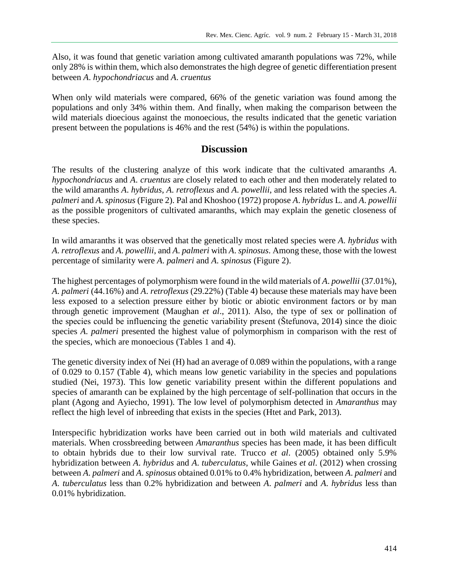Also, it was found that genetic variation among cultivated amaranth populations was 72%, while only 28% is within them, which also demonstrates the high degree of genetic differentiation present between *A*. *hypochondriacus* and *A*. *cruentus*

When only wild materials were compared, 66% of the genetic variation was found among the populations and only 34% within them. And finally, when making the comparison between the wild materials dioecious against the monoecious, the results indicated that the genetic variation present between the populations is 46% and the rest (54%) is within the populations.

## **Discussion**

The results of the clustering analyze of this work indicate that the cultivated amaranths *A*. *hypochondriacus* and *A*. *cruentus* are closely related to each other and then moderately related to the wild amaranths *A*. *hybridus*, *A*. *retroflexus* and *A*. *powellii*, and less related with the species *A*. *palmeri* and *A*. *spinosus* (Figure 2). Pal and Khoshoo (1972) propose *A*. *hybridus* L. and *A*. *powellii* as the possible progenitors of cultivated amaranths, which may explain the genetic closeness of these species.

In wild amaranths it was observed that the genetically most related species were *A*. *hybridus* with *A*. *retroflexus* and *A*. *powellii*, and *A*. *palmeri* with *A*. *spinosus*. Among these, those with the lowest percentage of similarity were *A*. *palmeri* and *A*. *spinosus* (Figure 2).

The highest percentages of polymorphism were found in the wild materials of *A*. *powellii* (37.01%), *A*. *palmeri* (44.16%) and *A*. *retroflexus* (29.22%) (Table 4) because these materials may have been less exposed to a selection pressure either by biotic or abiotic environment factors or by man through genetic improvement (Maughan *et al*., 2011). Also, the type of sex or pollination of the species could be influencing the genetic variability present (Štefunova, 2014) since the dioic species *A*. *palmeri* presented the highest value of polymorphism in comparison with the rest of the species, which are monoecious (Tables 1 and 4).

The genetic diversity index of Nei (H) had an average of 0.089 within the populations, with a range of 0.029 to 0.157 (Table 4), which means low genetic variability in the species and populations studied (Nei, 1973). This low genetic variability present within the different populations and species of amaranth can be explained by the high percentage of self-pollination that occurs in the plant (Agong and Ayiecho, 1991). The low level of polymorphism detected in *Amaranthus* may reflect the high level of inbreeding that exists in the species (Htet and Park, 2013).

Interspecific hybridization works have been carried out in both wild materials and cultivated materials. When crossbreeding between *Amaranthus* species has been made, it has been difficult to obtain hybrids due to their low survival rate. Trucco *et al*. (2005) obtained only 5.9% hybridization between *A*. *hybridus* and *A*. *tuberculatus*, while Gaines *et al*. (2012) when crossing between *A*. *palmeri* and *A*. *spinosus* obtained 0.01% to 0.4% hybridization, between *A*. *palmeri* and *A*. *tuberculatus* less than 0.2% hybridization and between *A*. *palmeri* and *A*. *hybridus* less than 0.01% hybridization.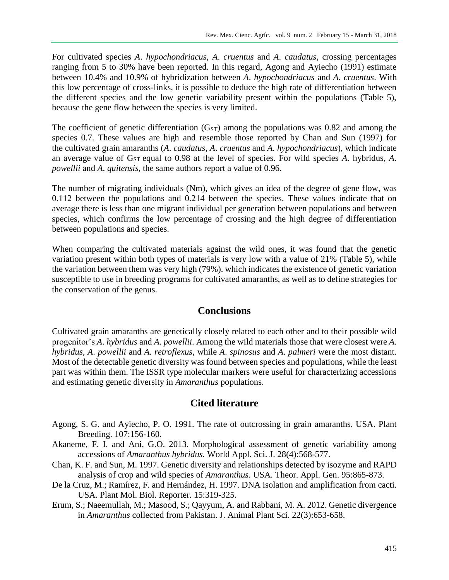For cultivated species *A*. *hypochondriacus*, *A*. *cruentus* and *A*. *caudatus*, crossing percentages ranging from 5 to 30% have been reported. In this regard, Agong and Ayiecho (1991) estimate between 10.4% and 10.9% of hybridization between *A*. *hypochondriacus* and *A*. *cruentus*. With this low percentage of cross-links, it is possible to deduce the high rate of differentiation between the different species and the low genetic variability present within the populations (Table 5), because the gene flow between the species is very limited.

The coefficient of genetic differentiation  $(G_{ST})$  among the populations was 0.82 and among the species 0.7. These values are high and resemble those reported by Chan and Sun (1997) for the cultivated grain amaranths (*A*. *caudatus*, *A*. *cruentus* and *A*. *hypochondriacus*), which indicate an average value of G<sub>ST</sub> equal to 0.98 at the level of species. For wild species *A*. hybridus, *A*. *powellii* and *A*. *quitensis*, the same authors report a value of 0.96.

The number of migrating individuals (Nm), which gives an idea of the degree of gene flow, was 0.112 between the populations and 0.214 between the species. These values indicate that on average there is less than one migrant individual per generation between populations and between species, which confirms the low percentage of crossing and the high degree of differentiation between populations and species.

When comparing the cultivated materials against the wild ones, it was found that the genetic variation present within both types of materials is very low with a value of 21% (Table 5), while the variation between them was very high (79%). which indicates the existence of genetic variation susceptible to use in breeding programs for cultivated amaranths, as well as to define strategies for the conservation of the genus.

# **Conclusions**

Cultivated grain amaranths are genetically closely related to each other and to their possible wild progenitor's *A*. *hybridus* and *A*. *powellii*. Among the wild materials those that were closest were *A*. *hybridus*, *A*. *powellii* and *A*. *retroflexus*, while *A*. *spinosus* and *A*. *palmeri* were the most distant. Most of the detectable genetic diversity was found between species and populations, while the least part was within them. The ISSR type molecular markers were useful for characterizing accessions and estimating genetic diversity in *Amaranthus* populations.

# **Cited literature**

- Agong, S. G. and Ayiecho, P. O. 1991. The rate of outcrossing in grain amaranths. USA. Plant Breeding. 107:156-160.
- Akaneme, F. I. and Ani, G.O. 2013. Morphological assessment of genetic variability among accessions of *Amaranthus hybridus.* World Appl. Sci. J. 28(4):568-577.
- Chan, K. F. and Sun, M. 1997. Genetic diversity and relationships detected by isozyme and RAPD analysis of crop and wild species of *Amaranthus*. USA. Theor. Appl. Gen. 95:865-873.
- De la Cruz, M.; Ramírez, F. and Hernández, H. 1997. DNA isolation and amplification from cacti. USA. Plant Mol. Biol. Reporter. 15:319-325.
- Erum, S.; Naeemullah, M.; Masood, S.; Qayyum, A. and Rabbani, M. A. 2012. Genetic divergence in *Amaranthus* collected from Pakistan. J. Animal Plant Sci. 22(3):653-658.